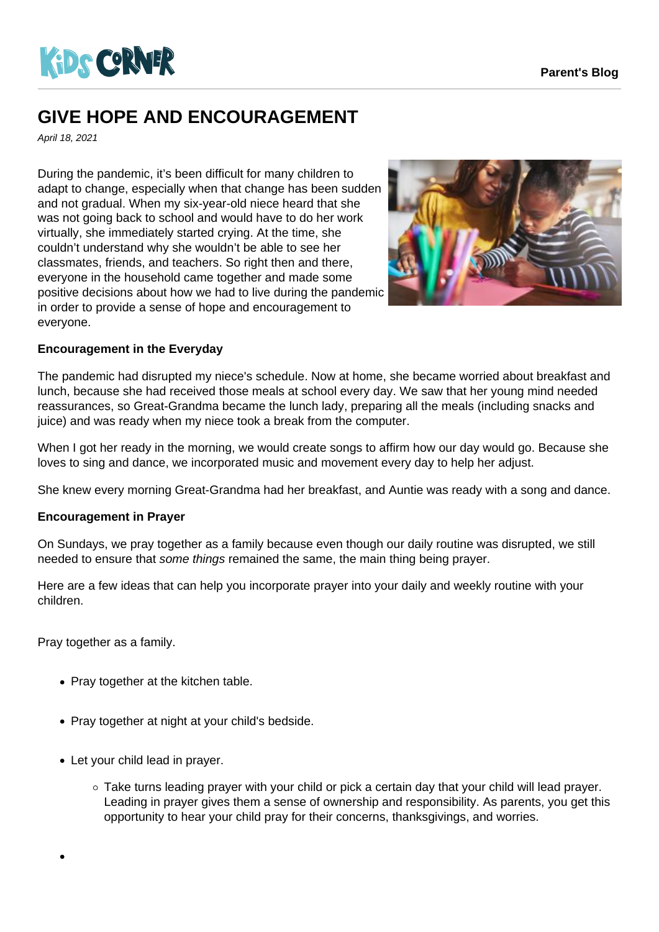

## **GIVE HOPE AND ENCOURAGEMENT**

April 18, 2021

During the pandemic, it's been difficult for many children to adapt to change, especially when that change has been sudden and not gradual. When my six-year-old niece heard that she was not going back to school and would have to do her work virtually, she immediately started crying. At the time, she couldn't understand why she wouldn't be able to see her classmates, friends, and teachers. So right then and there, everyone in the household came together and made some positive decisions about how we had to live during the pandemic in order to provide a sense of hope and encouragement to everyone.



## **Encouragement in the Everyday**

The pandemic had disrupted my niece's schedule. Now at home, she became worried about breakfast and lunch, because she had received those meals at school every day. We saw that her young mind needed reassurances, so Great-Grandma became the lunch lady, preparing all the meals (including snacks and juice) and was ready when my niece took a break from the computer.

When I got her ready in the morning, we would create songs to affirm how our day would go. Because she loves to sing and dance, we incorporated music and movement every day to help her adjust.

She knew every morning Great-Grandma had her breakfast, and Auntie was ready with a song and dance.

## **Encouragement in Prayer**

On Sundays, we pray together as a family because even though our daily routine was disrupted, we still needed to ensure that some things remained the same, the main thing being prayer.

Here are a few ideas that can help you incorporate prayer into your daily and weekly routine with your children.

Pray together as a family.

- Pray together at the kitchen table.
- Pray together at night at your child's bedside.
- Let your child lead in prayer.
	- Take turns leading prayer with your child or pick a certain day that your child will lead prayer. Leading in prayer gives them a sense of ownership and responsibility. As parents, you get this opportunity to hear your child pray for their concerns, thanksgivings, and worries.